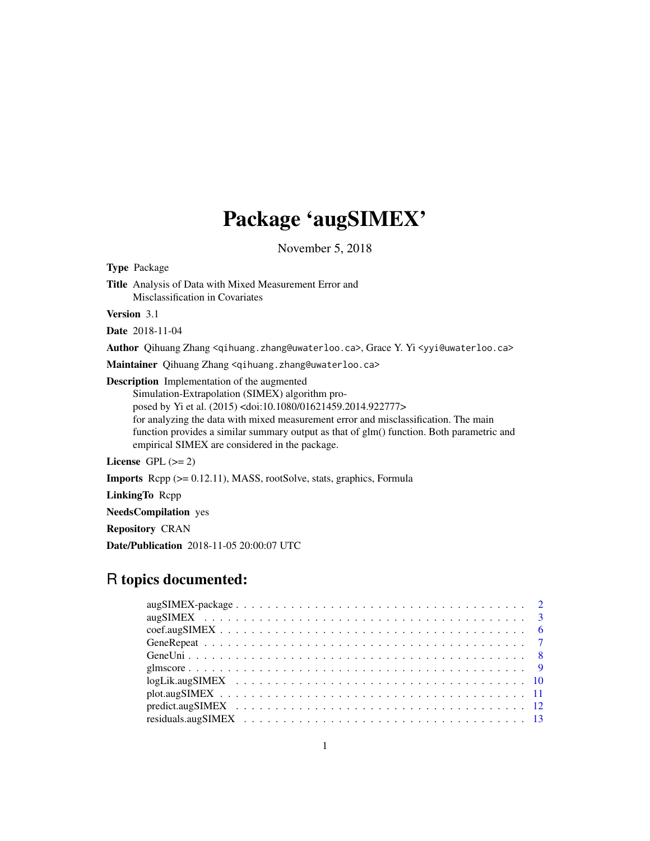# Package 'augSIMEX'

November 5, 2018

<span id="page-0-0"></span>

| <b>Type Package</b>                                                                                                                                                                                                                                                                                                                                                                                                                                                |
|--------------------------------------------------------------------------------------------------------------------------------------------------------------------------------------------------------------------------------------------------------------------------------------------------------------------------------------------------------------------------------------------------------------------------------------------------------------------|
| <b>Title</b> Analysis of Data with Mixed Measurement Error and<br>Misclassification in Covariates                                                                                                                                                                                                                                                                                                                                                                  |
| <b>Version</b> 3.1                                                                                                                                                                                                                                                                                                                                                                                                                                                 |
| <b>Date</b> 2018-11-04                                                                                                                                                                                                                                                                                                                                                                                                                                             |
| Author Qihuang Zhang <qihuang.zhang@uwaterloo.ca>, Grace Y. Yi <yyi@uwaterloo.ca></yyi@uwaterloo.ca></qihuang.zhang@uwaterloo.ca>                                                                                                                                                                                                                                                                                                                                  |
| Maintainer Qihuang Zhang <qihuang.zhang@uwaterloo.ca></qihuang.zhang@uwaterloo.ca>                                                                                                                                                                                                                                                                                                                                                                                 |
| <b>Description</b> Implementation of the augmented<br>Simulation-Extrapolation (SIMEX) algorithm pro-<br>posed by Yi et al. (2015) <doi:10.1080 01621459.2014.922777=""><br/>for analyzing the data with mixed measurement error and misclassification. The main<br/>function provides a similar summary output as that of glm() function. Both parametric and<br/>empirical SIMEX are considered in the package.<br/>License <math>GPL (= 2)</math></doi:10.1080> |
| <b>Imports</b> $\text{Repp}$ ( $> = 0.12.11$ ), MASS, rootSolve, stats, graphics, Formula                                                                                                                                                                                                                                                                                                                                                                          |
| LinkingTo Repp                                                                                                                                                                                                                                                                                                                                                                                                                                                     |
| <b>NeedsCompilation</b> yes                                                                                                                                                                                                                                                                                                                                                                                                                                        |
| <b>Repository CRAN</b>                                                                                                                                                                                                                                                                                                                                                                                                                                             |
| <b>Date/Publication</b> 2018-11-05 20:00:07 UTC                                                                                                                                                                                                                                                                                                                                                                                                                    |
|                                                                                                                                                                                                                                                                                                                                                                                                                                                                    |

# R topics documented: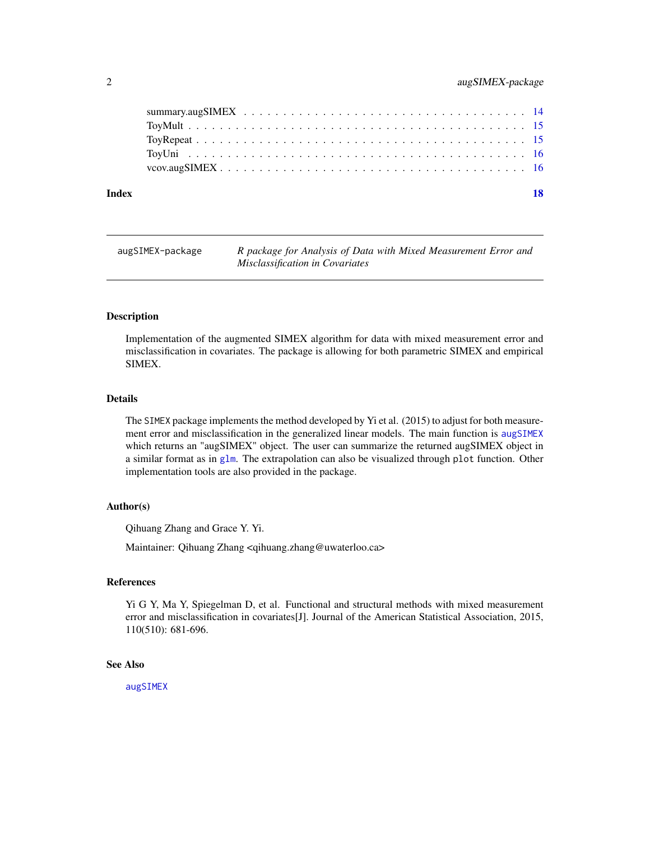<span id="page-1-0"></span>

| Index | 18 |
|-------|----|
|       |    |
|       |    |
|       |    |
|       |    |
|       |    |

| augSIMEX-package | R package for Analysis of Data with Mixed Measurement Error and |
|------------------|-----------------------------------------------------------------|
|                  | <i>Misclassification in Covariates</i>                          |

#### Description

Implementation of the augmented SIMEX algorithm for data with mixed measurement error and misclassification in covariates. The package is allowing for both parametric SIMEX and empirical SIMEX.

# Details

The SIMEX package implements the method developed by Yi et al. (2015) to adjust for both measurement error and misclassification in the generalized linear models. The main function is [augSIMEX](#page-2-1) which returns an "augSIMEX" object. The user can summarize the returned augSIMEX object in a similar format as in [glm](#page-0-0). The extrapolation can also be visualized through plot function. Other implementation tools are also provided in the package.

# Author(s)

Qihuang Zhang and Grace Y. Yi.

Maintainer: Qihuang Zhang <qihuang.zhang@uwaterloo.ca>

#### References

Yi G Y, Ma Y, Spiegelman D, et al. Functional and structural methods with mixed measurement error and misclassification in covariates[J]. Journal of the American Statistical Association, 2015, 110(510): 681-696.

# See Also

[augSIMEX](#page-2-1)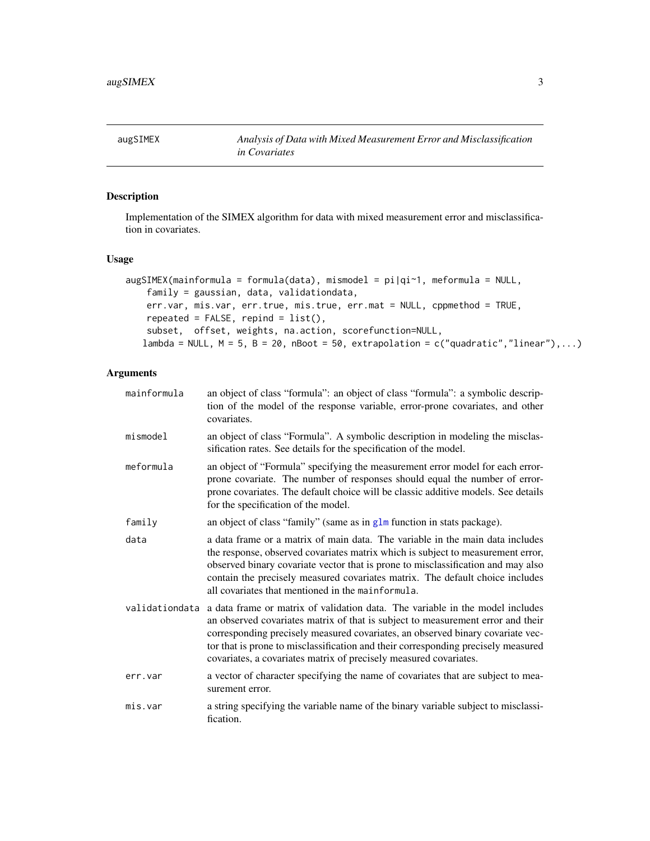<span id="page-2-1"></span><span id="page-2-0"></span>augSIMEX *Analysis of Data with Mixed Measurement Error and Misclassification in Covariates*

# **Description**

Implementation of the SIMEX algorithm for data with mixed measurement error and misclassification in covariates.

#### Usage

```
augSIMEX(mainformula = formula(data), mismodel = pi|qi~1, meformula = NULL,
   family = gaussian, data, validationdata,
   err.var, mis.var, err.true, mis.true, err.mat = NULL, cppmethod = TRUE,
   repeated = FALSE, repind = list(),subset, offset, weights, na.action, scorefunction=NULL,
   lambda = NULL, M = 5, B = 20, nBoot = 50, extrapolation = c("quadratic","linear"),...)
```
- mainformula an object of class "formula": an object of class "formula": a symbolic description of the model of the response variable, error-prone covariates, and other covariates. mismodel an object of class "Formula". A symbolic description in modeling the misclassification rates. See details for the specification of the model. meformula an object of "Formula" specifying the measurement error model for each errorprone covariate. The number of responses should equal the number of errorprone covariates. The default choice will be classic additive models. See details for the specification of the model. family an object of class "family" (same as in [glm](#page-0-0) function in stats package). data a data frame or a matrix of main data. The variable in the main data includes the response, observed covariates matrix which is subject to measurement error, observed binary covariate vector that is prone to misclassification and may also contain the precisely measured covariates matrix. The default choice includes all covariates that mentioned in the mainformula.
- validationdata a data frame or matrix of validation data. The variable in the model includes an observed covariates matrix of that is subject to measurement error and their corresponding precisely measured covariates, an observed binary covariate vector that is prone to misclassification and their corresponding precisely measured covariates, a covariates matrix of precisely measured covariates.
- err. var a vector of character specifying the name of covariates that are subject to measurement error.
- mis.var a string specifying the variable name of the binary variable subject to misclassification.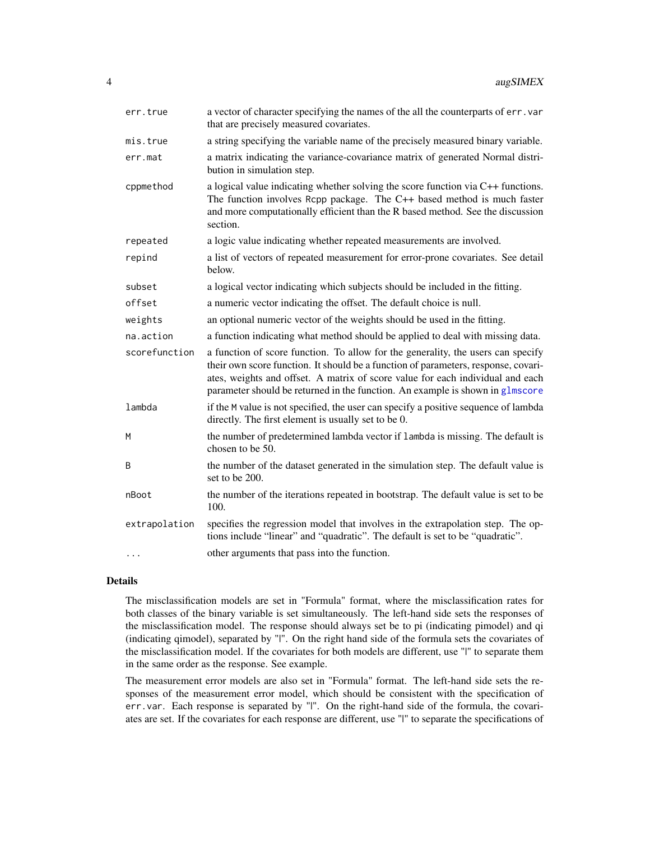<span id="page-3-0"></span>

| err.true      | a vector of character specifying the names of the all the counterparts of err. var<br>that are precisely measured covariates.                                                                                                                                                                                                             |
|---------------|-------------------------------------------------------------------------------------------------------------------------------------------------------------------------------------------------------------------------------------------------------------------------------------------------------------------------------------------|
| mis.true      | a string specifying the variable name of the precisely measured binary variable.                                                                                                                                                                                                                                                          |
| err.mat       | a matrix indicating the variance-covariance matrix of generated Normal distri-<br>bution in simulation step.                                                                                                                                                                                                                              |
| cppmethod     | a logical value indicating whether solving the score function via C++ functions.<br>The function involves Rcpp package. The C++ based method is much faster<br>and more computationally efficient than the R based method. See the discussion<br>section.                                                                                 |
| repeated      | a logic value indicating whether repeated measurements are involved.                                                                                                                                                                                                                                                                      |
| repind        | a list of vectors of repeated measurement for error-prone covariates. See detail<br>below.                                                                                                                                                                                                                                                |
| subset        | a logical vector indicating which subjects should be included in the fitting.                                                                                                                                                                                                                                                             |
| offset        | a numeric vector indicating the offset. The default choice is null.                                                                                                                                                                                                                                                                       |
| weights       | an optional numeric vector of the weights should be used in the fitting.                                                                                                                                                                                                                                                                  |
| na.action     | a function indicating what method should be applied to deal with missing data.                                                                                                                                                                                                                                                            |
| scorefunction | a function of score function. To allow for the generality, the users can specify<br>their own score function. It should be a function of parameters, response, covari-<br>ates, weights and offset. A matrix of score value for each individual and each<br>parameter should be returned in the function. An example is shown in glmscore |
| lambda        | if the M value is not specified, the user can specify a positive sequence of lambda<br>directly. The first element is usually set to be 0.                                                                                                                                                                                                |
| M             | the number of predetermined lambda vector if lambda is missing. The default is<br>chosen to be 50.                                                                                                                                                                                                                                        |
| B             | the number of the dataset generated in the simulation step. The default value is<br>set to be 200.                                                                                                                                                                                                                                        |
| nBoot         | the number of the iterations repeated in bootstrap. The default value is set to be<br>100.                                                                                                                                                                                                                                                |
| extrapolation | specifies the regression model that involves in the extrapolation step. The op-<br>tions include "linear" and "quadratic". The default is set to be "quadratic".                                                                                                                                                                          |
| .             | other arguments that pass into the function.                                                                                                                                                                                                                                                                                              |

# Details

The misclassification models are set in "Formula" format, where the misclassification rates for both classes of the binary variable is set simultaneously. The left-hand side sets the responses of the misclassification model. The response should always set be to pi (indicating pimodel) and qi (indicating qimodel), separated by "|". On the right hand side of the formula sets the covariates of the misclassification model. If the covariates for both models are different, use "|" to separate them in the same order as the response. See example.

The measurement error models are also set in "Formula" format. The left-hand side sets the responses of the measurement error model, which should be consistent with the specification of err.var. Each response is separated by "|". On the right-hand side of the formula, the covariates are set. If the covariates for each response are different, use "|" to separate the specifications of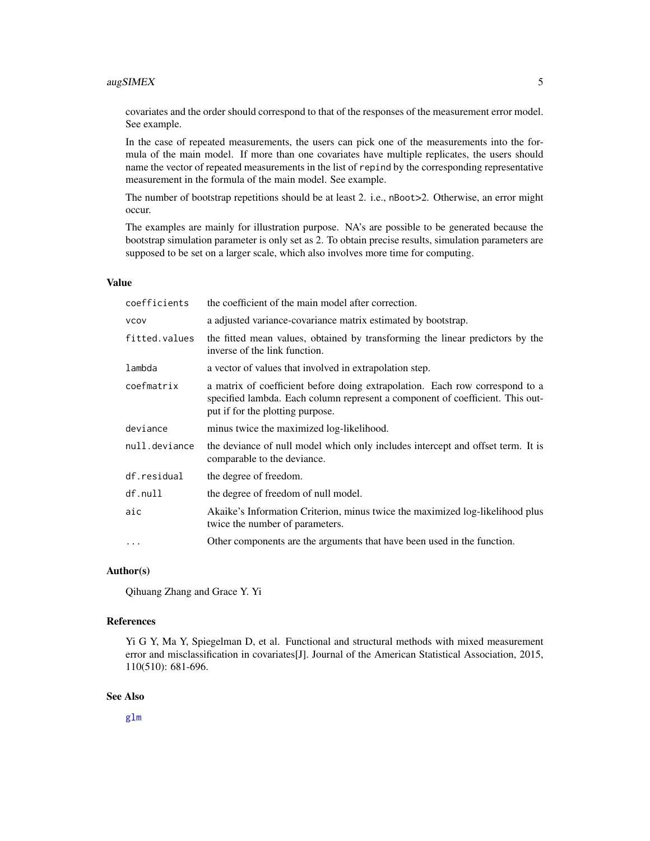# <span id="page-4-0"></span>augSIMEX 5

covariates and the order should correspond to that of the responses of the measurement error model. See example.

In the case of repeated measurements, the users can pick one of the measurements into the formula of the main model. If more than one covariates have multiple replicates, the users should name the vector of repeated measurements in the list of repind by the corresponding representative measurement in the formula of the main model. See example.

The number of bootstrap repetitions should be at least 2. i.e., nBoot>2. Otherwise, an error might occur.

The examples are mainly for illustration purpose. NA's are possible to be generated because the bootstrap simulation parameter is only set as 2. To obtain precise results, simulation parameters are supposed to be set on a larger scale, which also involves more time for computing.

#### Value

| coefficients  | the coefficient of the main model after correction.                                                                                                                                               |
|---------------|---------------------------------------------------------------------------------------------------------------------------------------------------------------------------------------------------|
| <b>VCOV</b>   | a adjusted variance-covariance matrix estimated by bootstrap.                                                                                                                                     |
| fitted.values | the fitted mean values, obtained by transforming the linear predictors by the<br>inverse of the link function.                                                                                    |
| lambda        | a vector of values that involved in extrapolation step.                                                                                                                                           |
| coefmatrix    | a matrix of coefficient before doing extrapolation. Each row correspond to a<br>specified lambda. Each column represent a component of coefficient. This out-<br>put if for the plotting purpose. |
| deviance      | minus twice the maximized log-likelihood.                                                                                                                                                         |
| null.deviance | the deviance of null model which only includes intercept and offset term. It is<br>comparable to the deviance.                                                                                    |
| df.residual   | the degree of freedom.                                                                                                                                                                            |
| df.null       | the degree of freedom of null model.                                                                                                                                                              |
| aic           | Akaike's Information Criterion, minus twice the maximized log-likelihood plus<br>twice the number of parameters.                                                                                  |
| $\cdots$      | Other components are the arguments that have been used in the function.                                                                                                                           |

# Author(s)

Qihuang Zhang and Grace Y. Yi

#### References

Yi G Y, Ma Y, Spiegelman D, et al. Functional and structural methods with mixed measurement error and misclassification in covariates[J]. Journal of the American Statistical Association, 2015, 110(510): 681-696.

# See Also

[glm](#page-0-0)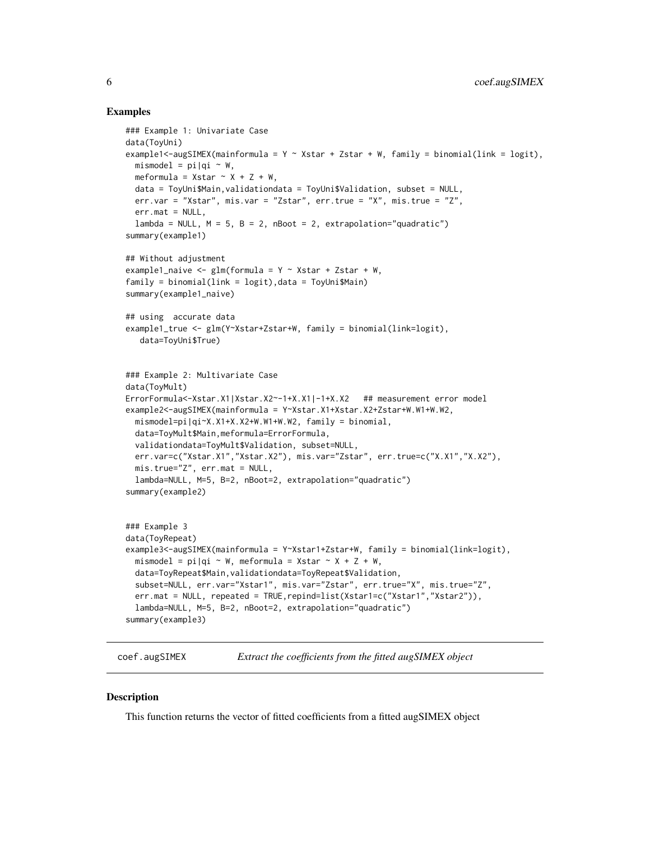# Examples

```
### Example 1: Univariate Case
data(ToyUni)
example1<-augSIMEX(mainformula = Y \sim Xstar + Zstar + W, family = binomial(link = logit),
 mismodel = pi |q| \sim W.
 meformula = Xstar \sim X + Z + W,
 data = ToyUni$Main,validationdata = ToyUni$Validation, subset = NULL,
 err.var = "Xstar", mis.var = "Zstar", err.true = "X", mis.true = "Z",
 err.mat = NULL,lambda = NULL, M = 5, B = 2, nBoot = 2, extrapolation="quadratic")
summary(example1)
## Without adjustment
example1_naive <- glm(formula = Y ~ xstar + Zstar + W,
family = binomial(link = logit),data = ToyUni$Main)
summary(example1_naive)
## using accurate data
example1_true <- glm(Y~Xstar+Zstar+W, family = binomial(link=logit),
  data=ToyUni$True)
### Example 2: Multivariate Case
data(ToyMult)
ErrorFormula<-Xstar.X1|Xstar.X2~-1+X.X1|-1+X.X2 ## measurement error model
example2<-augSIMEX(mainformula = Y~Xstar.X1+Xstar.X2+Zstar+W.W1+W.W2,
 mismodel=pi|qi~X.X1+X.X2+W.W1+W.W2, family = binomial,
 data=ToyMult$Main,meformula=ErrorFormula,
 validationdata=ToyMult$Validation, subset=NULL,
 err.var=c("Xstar.X1","Xstar.X2"), mis.var="Zstar", err.true=c("X.X1","X.X2"),
 mis.true="Z", err.mat = NULL,
 lambda=NULL, M=5, B=2, nBoot=2, extrapolation="quadratic")
summary(example2)
### Example 3
data(ToyRepeat)
example3<-augSIMEX(mainformula = Y~Xstar1+Zstar+W, family = binomial(link=logit),
 mismodel = pi |qi \sim W, meformula = Xstar \sim X + Z + W,
 data=ToyRepeat$Main,validationdata=ToyRepeat$Validation,
 subset=NULL, err.var="Xstar1", mis.var="Zstar", err.true="X", mis.true="Z",
 err.mat = NULL, repeated = TRUE,repind=list(Xstar1=c("Xstar1","Xstar2")),
 lambda=NULL, M=5, B=2, nBoot=2, extrapolation="quadratic")
summary(example3)
```
coef.augSIMEX *Extract the coefficients from the fitted augSIMEX object*

# Description

This function returns the vector of fitted coefficients from a fitted augSIMEX object

<span id="page-5-0"></span>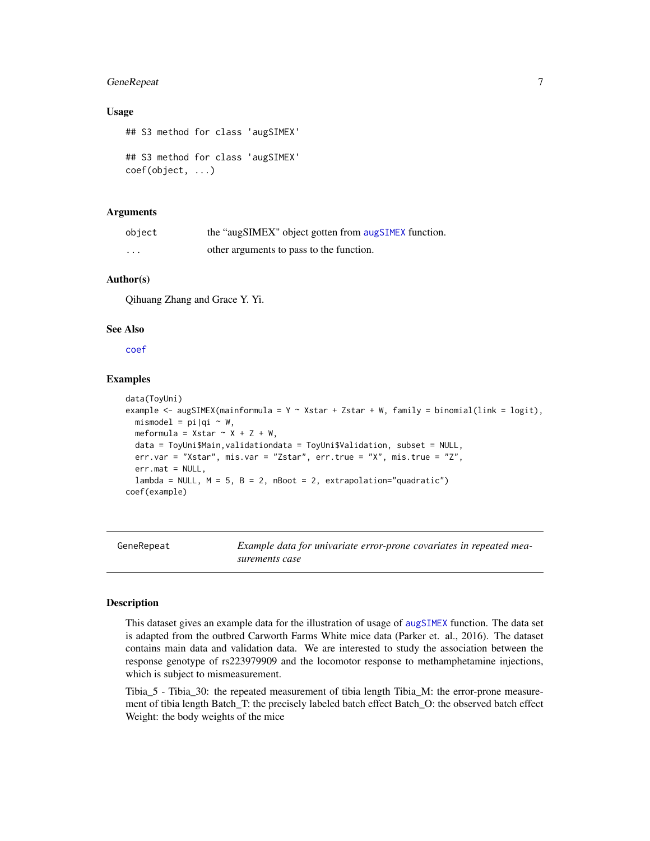# <span id="page-6-0"></span>GeneRepeat 7

# Usage

## S3 method for class 'augSIMEX' ## S3 method for class 'augSIMEX' coef(object, ...)

# Arguments

| object | the "augSIMEX" object gotten from augSIMEX function. |
|--------|------------------------------------------------------|
| .      | other arguments to pass to the function.             |

# Author(s)

Qihuang Zhang and Grace Y. Yi.

# See Also

[coef](#page-0-0)

# Examples

```
data(ToyUni)
example <- augSIMEX(mainformula = Y \sim Xstar + Zstar + W, family = binomial(link = logit),
 mismodel = pi|qi \sim W,
 meformula = Xstar \sim X + Z + W,
 data = ToyUni$Main,validationdata = ToyUni$Validation, subset = NULL,
 err.var = "Xstar", mis.var = "Zstar", err.true = "X", mis.true = "Z",
 err.mat = NULL,lambda = NULL, M = 5, B = 2, nBoot = 2, extrapolation="quadratic")
coef(example)
```
GeneRepeat *Example data for univariate error-prone covariates in repeated measurements case*

#### **Description**

This dataset gives an example data for the illustration of usage of [augSIMEX](#page-2-1) function. The data set is adapted from the outbred Carworth Farms White mice data (Parker et. al., 2016). The dataset contains main data and validation data. We are interested to study the association between the response genotype of rs223979909 and the locomotor response to methamphetamine injections, which is subject to mismeasurement.

Tibia\_5 - Tibia\_30: the repeated measurement of tibia length Tibia\_M: the error-prone measurement of tibia length Batch\_T: the precisely labeled batch effect Batch\_O: the observed batch effect Weight: the body weights of the mice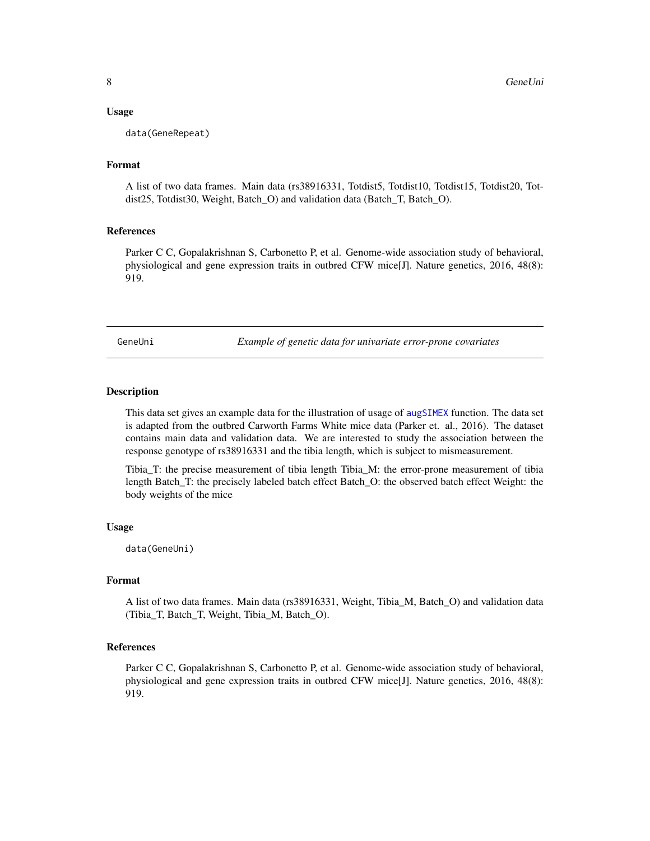<span id="page-7-0"></span>data(GeneRepeat)

#### Format

A list of two data frames. Main data (rs38916331, Totdist5, Totdist10, Totdist15, Totdist20, Totdist25, Totdist30, Weight, Batch\_O) and validation data (Batch\_T, Batch\_O).

## References

Parker C C, Gopalakrishnan S, Carbonetto P, et al. Genome-wide association study of behavioral, physiological and gene expression traits in outbred CFW mice[J]. Nature genetics, 2016, 48(8): 919.

GeneUni *Example of genetic data for univariate error-prone covariates*

#### Description

This data set gives an example data for the illustration of usage of [augSIMEX](#page-2-1) function. The data set is adapted from the outbred Carworth Farms White mice data (Parker et. al., 2016). The dataset contains main data and validation data. We are interested to study the association between the response genotype of rs38916331 and the tibia length, which is subject to mismeasurement.

Tibia\_T: the precise measurement of tibia length Tibia\_M: the error-prone measurement of tibia length Batch\_T: the precisely labeled batch effect Batch\_O: the observed batch effect Weight: the body weights of the mice

## Usage

data(GeneUni)

#### Format

A list of two data frames. Main data (rs38916331, Weight, Tibia\_M, Batch\_O) and validation data (Tibia\_T, Batch\_T, Weight, Tibia\_M, Batch\_O).

#### References

Parker C C, Gopalakrishnan S, Carbonetto P, et al. Genome-wide association study of behavioral, physiological and gene expression traits in outbred CFW mice[J]. Nature genetics, 2016, 48(8): 919.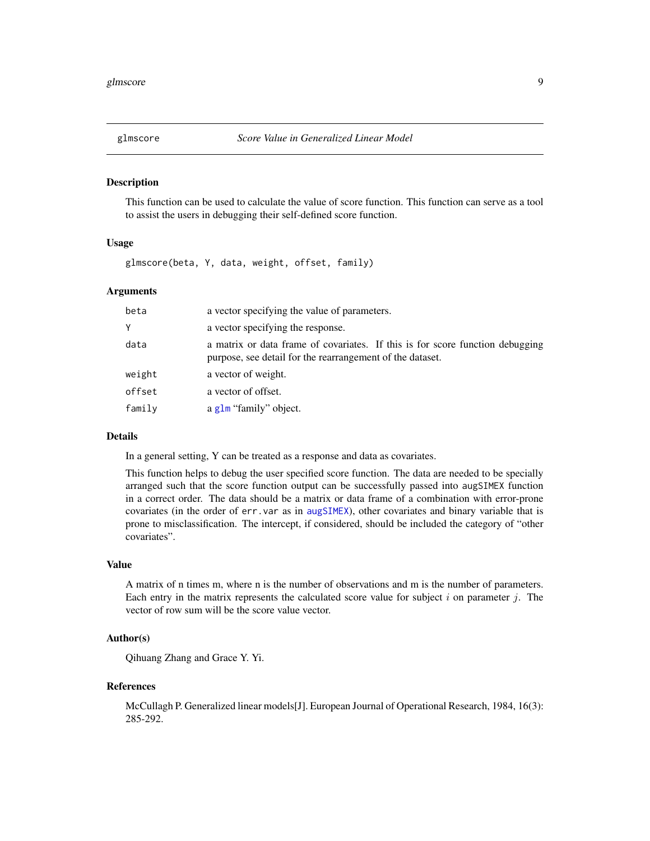<span id="page-8-1"></span><span id="page-8-0"></span>

## **Description**

This function can be used to calculate the value of score function. This function can serve as a tool to assist the users in debugging their self-defined score function.

#### Usage

glmscore(beta, Y, data, weight, offset, family)

# Arguments

| beta   | a vector specifying the value of parameters.                                                                                               |
|--------|--------------------------------------------------------------------------------------------------------------------------------------------|
| Y      | a vector specifying the response.                                                                                                          |
| data   | a matrix or data frame of covariates. If this is for score function debugging<br>purpose, see detail for the rearrangement of the dataset. |
| weight | a vector of weight.                                                                                                                        |
| offset | a vector of offset.                                                                                                                        |
| family | a glm "family" object.                                                                                                                     |

## Details

In a general setting, Y can be treated as a response and data as covariates.

This function helps to debug the user specified score function. The data are needed to be specially arranged such that the score function output can be successfully passed into augSIMEX function in a correct order. The data should be a matrix or data frame of a combination with error-prone covariates (in the order of err.var as in [augSIMEX](#page-2-1)), other covariates and binary variable that is prone to misclassification. The intercept, if considered, should be included the category of "other covariates".

#### Value

A matrix of n times m, where n is the number of observations and m is the number of parameters. Each entry in the matrix represents the calculated score value for subject i on parameter j. The vector of row sum will be the score value vector.

# Author(s)

Qihuang Zhang and Grace Y. Yi.

#### References

McCullagh P. Generalized linear models[J]. European Journal of Operational Research, 1984, 16(3): 285-292.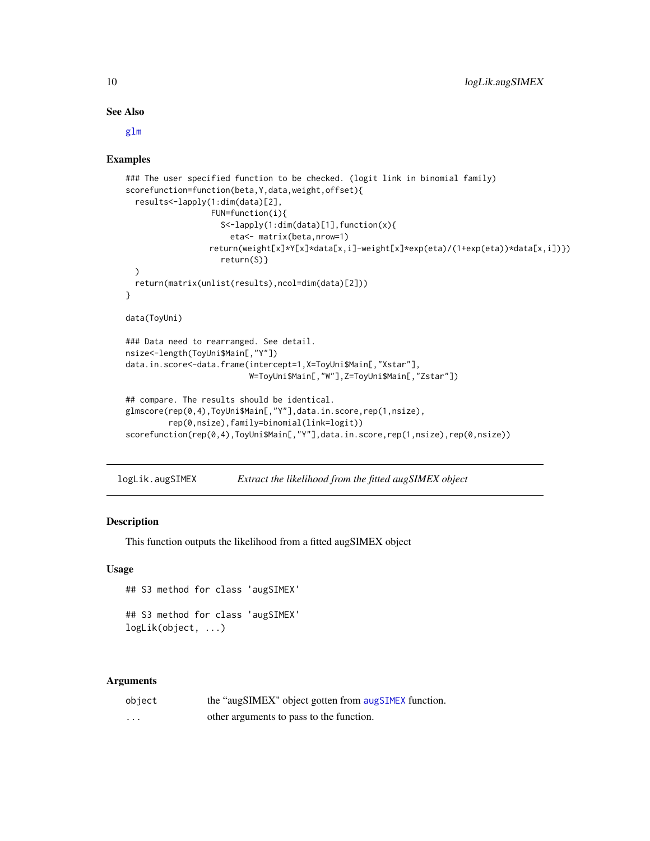# See Also

[glm](#page-0-0)

# Examples

```
### The user specified function to be checked. (logit link in binomial family)
scorefunction=function(beta,Y,data,weight,offset){
 results<-lapply(1:dim(data)[2],
                 FUN=function(i){
                    S<-lapply(1:dim(data)[1],function(x){
                      eta<- matrix(beta,nrow=1)
                 return(weight[x]*Y[x]*data[x,i]-weight[x]*exp(eta)/(1+exp(eta))*data[x,i])})
                    return(S)}
 )
 return(matrix(unlist(results),ncol=dim(data)[2]))
}
data(ToyUni)
### Data need to rearranged. See detail.
nsize<-length(ToyUni$Main[,"Y"])
data.in.score<-data.frame(intercept=1,X=ToyUni$Main[,"Xstar"],
                          W=ToyUni$Main[,"W"],Z=ToyUni$Main[,"Zstar"])
## compare. The results should be identical.
glmscore(rep(0,4),ToyUni$Main[,"Y"],data.in.score,rep(1,nsize),
         rep(0,nsize),family=binomial(link=logit))
scorefunction(rep(0,4),ToyUni$Main[,"Y"],data.in.score,rep(1,nsize),rep(0,nsize))
```
logLik.augSIMEX *Extract the likelihood from the fitted augSIMEX object*

# Description

This function outputs the likelihood from a fitted augSIMEX object

#### Usage

```
## S3 method for class 'augSIMEX'
```

```
## S3 method for class 'augSIMEX'
logLik(object, ...)
```

| object | the "augSIMEX" object gotten from augSIMEX function. |
|--------|------------------------------------------------------|
| .      | other arguments to pass to the function.             |

<span id="page-9-0"></span>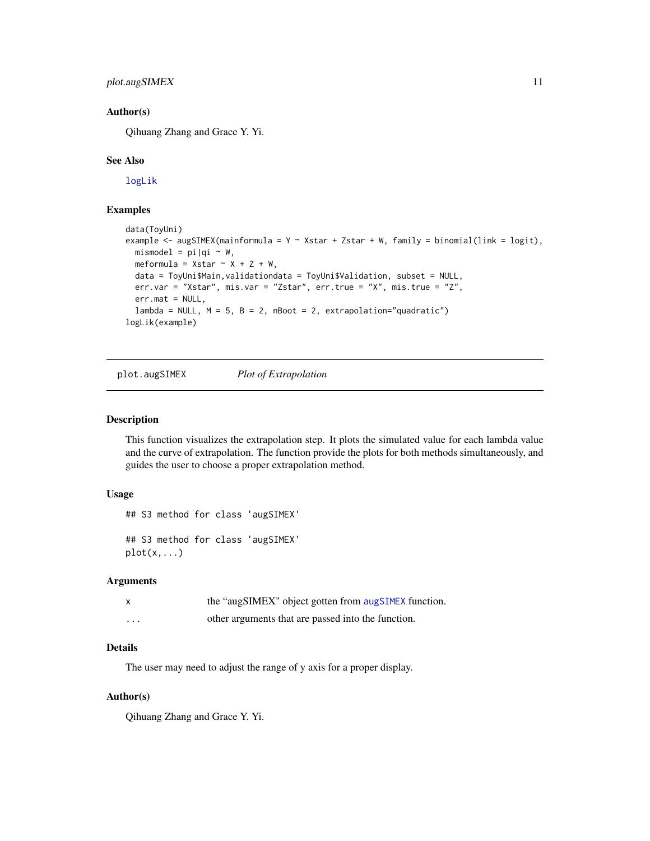# <span id="page-10-0"></span>plot.augSIMEX 11

# Author(s)

Qihuang Zhang and Grace Y. Yi.

#### See Also

[logLik](#page-0-0)

# Examples

```
data(ToyUni)
example <- augSIMEX(mainformula = Y \sim Xstar + Zstar + W, family = binomial(link = logit),
 mismodel = pi|qi ~ w,meformula = Xstar \sim X + Z + W,
 data = ToyUni$Main,validationdata = ToyUni$Validation, subset = NULL,
 err.var = "Xstar", mis.var = "Zstar", err.true = "X", mis.true = "Z",
 err.mat = NULL,
 lambda = NULL, M = 5, B = 2, nBoot = 2, extrapolation="quadratic")
logLik(example)
```
plot.augSIMEX *Plot of Extrapolation*

# Description

This function visualizes the extrapolation step. It plots the simulated value for each lambda value and the curve of extrapolation. The function provide the plots for both methods simultaneously, and guides the user to choose a proper extrapolation method.

# Usage

```
## S3 method for class 'augSIMEX'
## S3 method for class 'augSIMEX'
plot(x,...)
```
#### Arguments

|   | the "augSIMEX" object gotten from augSIMEX function. |
|---|------------------------------------------------------|
| . | other arguments that are passed into the function.   |

# Details

The user may need to adjust the range of y axis for a proper display.

#### Author(s)

Qihuang Zhang and Grace Y. Yi.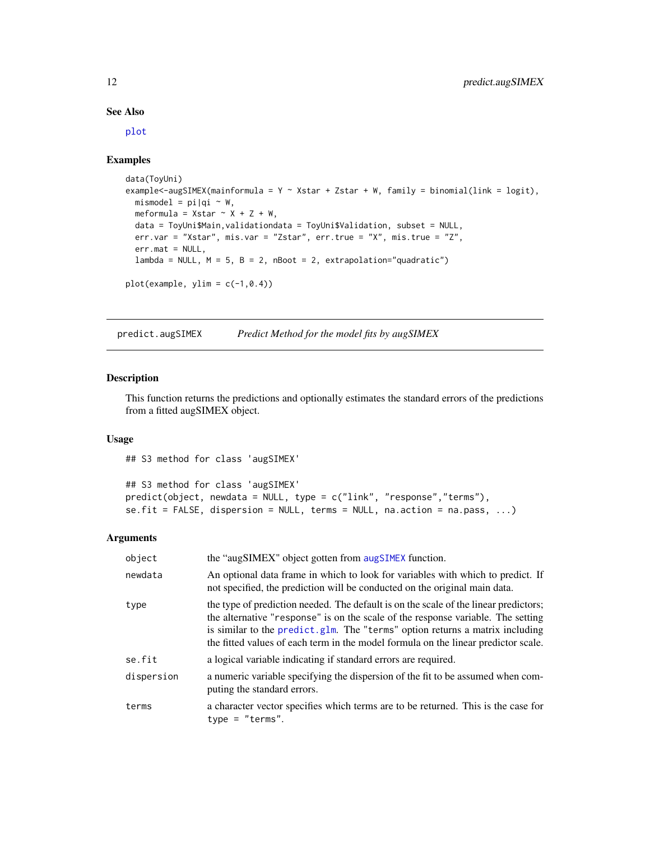#### See Also

[plot](#page-0-0)

# Examples

```
data(ToyUni)
example<-augSIMEX(mainformula = Y ~ Xstar + Zstar + W, family = binomial(link = logit),
 mismodel = pi|qi \sim W,
  meformula = Xstar \sim X + Z + W,
  data = ToyUni$Main,validationdata = ToyUni$Validation, subset = NULL,
  err.var = "Xstar", mis.var = "Zstar", err.true = "X", mis.true = "Z",
  err.mat = NULL,
  lambda = NULL, M = 5, B = 2, nBoot = 2, extrapolation="quadratic")
plot(example, ylim = c(-1, 0.4))
```
predict.augSIMEX *Predict Method for the model fits by augSIMEX*

#### Description

This function returns the predictions and optionally estimates the standard errors of the predictions from a fitted augSIMEX object.

#### Usage

## S3 method for class 'augSIMEX' ## S3 method for class 'augSIMEX' predict(object, newdata = NULL, type = c("link", "response","terms"),  $se.fit = FALSE, dispersion = NULL, terms = NULL, na. action = na. pass, ...$ 

| object     | the "augSIMEX" object gotten from augSIMEX function.                                                                                                                                                                                                                                                                                            |
|------------|-------------------------------------------------------------------------------------------------------------------------------------------------------------------------------------------------------------------------------------------------------------------------------------------------------------------------------------------------|
| newdata    | An optional data frame in which to look for variables with which to predict. If<br>not specified, the prediction will be conducted on the original main data.                                                                                                                                                                                   |
| type       | the type of prediction needed. The default is on the scale of the linear predictors;<br>the alternative "response" is on the scale of the response variable. The setting<br>is similar to the predict, glm. The "terms" option returns a matrix including<br>the fitted values of each term in the model formula on the linear predictor scale. |
| se.fit     | a logical variable indicating if standard errors are required.                                                                                                                                                                                                                                                                                  |
| dispersion | a numeric variable specifying the dispersion of the fit to be assumed when com-<br>puting the standard errors.                                                                                                                                                                                                                                  |
| terms      | a character vector specifies which terms are to be returned. This is the case for<br>$type = "terms".$                                                                                                                                                                                                                                          |

<span id="page-11-0"></span>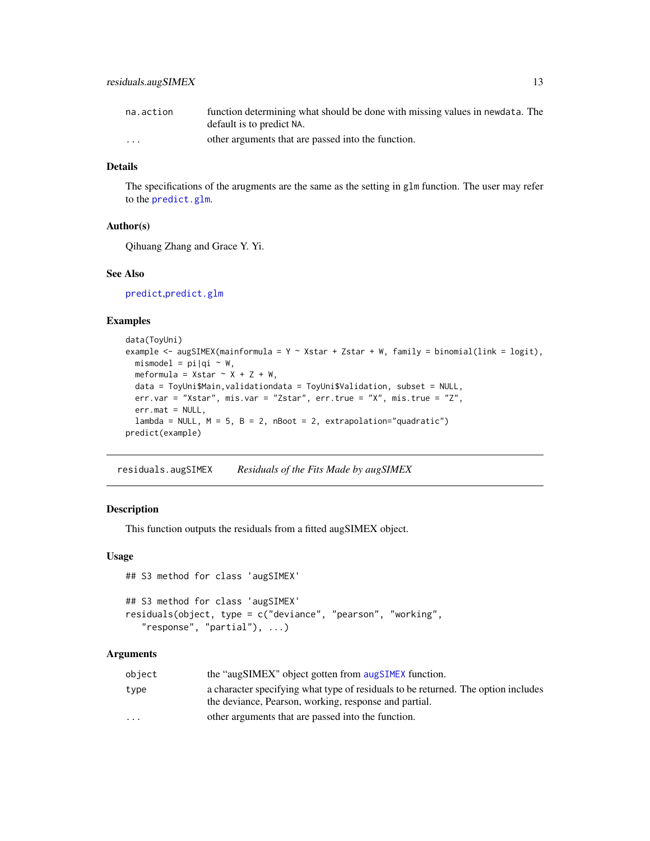<span id="page-12-0"></span>

| na.action | function determining what should be done with missing values in newdata. The |
|-----------|------------------------------------------------------------------------------|
|           | default is to predict NA.                                                    |
| $\cdots$  | other arguments that are passed into the function.                           |

# **Details**

The specifications of the arugments are the same as the setting in glm function. The user may refer to the [predict.glm](#page-0-0).

# Author(s)

Qihuang Zhang and Grace Y. Yi.

# See Also

[predict](#page-0-0),[predict.glm](#page-0-0)

# Examples

```
data(ToyUni)
example <- augSIMEX(mainformula = Y \sim Xstar + Zstar + W, family = binomial(link = logit),
  mismodel = pi|qi \sim W,
  meformula = Xstar \sim X + Z + W,
  data = ToyUni$Main,validationdata = ToyUni$Validation, subset = NULL,
  err.var = "Xstar", mis.var = "Zstar", err.true = "X", mis.true = "Z",
  err.mat = NULL,
  lambda = NULL, M = 5, B = 2, nBoot = 2, extrapolation="quadratic")
predict(example)
```
residuals.augSIMEX *Residuals of the Fits Made by augSIMEX*

#### Description

This function outputs the residuals from a fitted augSIMEX object.

#### Usage

```
## S3 method for class 'augSIMEX'
## S3 method for class 'augSIMEX'
residuals(object, type = c("deviance", "pearson", "working",
   "response", "partial"), ...)
```

| the "augSIMEX" object gotten from augSIMEX function.<br>object                            |  |
|-------------------------------------------------------------------------------------------|--|
| a character specifying what type of residuals to be returned. The option includes<br>type |  |
| the deviance, Pearson, working, response and partial.                                     |  |
| other arguments that are passed into the function.<br>$\cdot$ $\cdot$ $\cdot$             |  |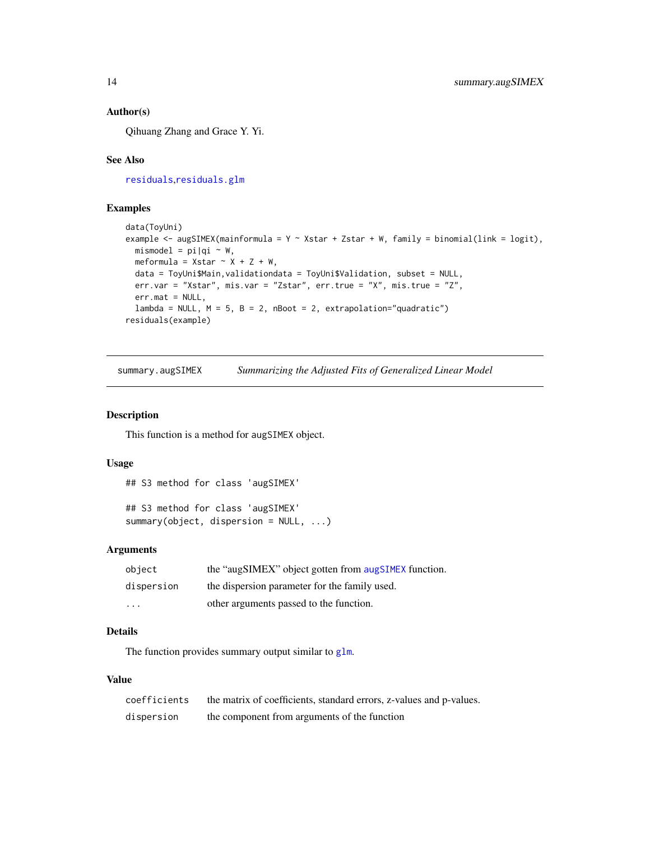# <span id="page-13-0"></span>Author(s)

Qihuang Zhang and Grace Y. Yi.

# See Also

[residuals](#page-0-0),[residuals.glm](#page-0-0)

# Examples

```
data(ToyUni)
example <- augSIMEX(mainformula = Y \sim Xstar + Zstar + W, family = binomial(link = logit),
  mismodel = pi|qi \sim W,
  meformula = Xstar \sim X + Z + W,
  data = ToyUni$Main,validationdata = ToyUni$Validation, subset = NULL,
  err.var = "Xstar", mis.var = "Zstar", err.true = "X", mis.true = "Z",
  err.mat = NULL,
  lambda = NULL, M = 5, B = 2, nBoot = 2, extrapolation="quadratic")
residuals(example)
```
summary.augSIMEX *Summarizing the Adjusted Fits of Generalized Linear Model*

# Description

This function is a method for augSIMEX object.

#### Usage

```
## S3 method for class 'augSIMEX'
```

```
## S3 method for class 'augSIMEX'
summary(object, dispersion = NULL, ...)
```
# Arguments

| object     | the "augSIMEX" object gotten from augSIMEX function. |
|------------|------------------------------------------------------|
| dispersion | the dispersion parameter for the family used.        |
| $\cdot$    | other arguments passed to the function.              |

# Details

The function provides summary output similar to [glm](#page-0-0).

# Value

| coefficients | the matrix of coefficients, standard errors, z-values and p-values. |
|--------------|---------------------------------------------------------------------|
| dispersion   | the component from arguments of the function                        |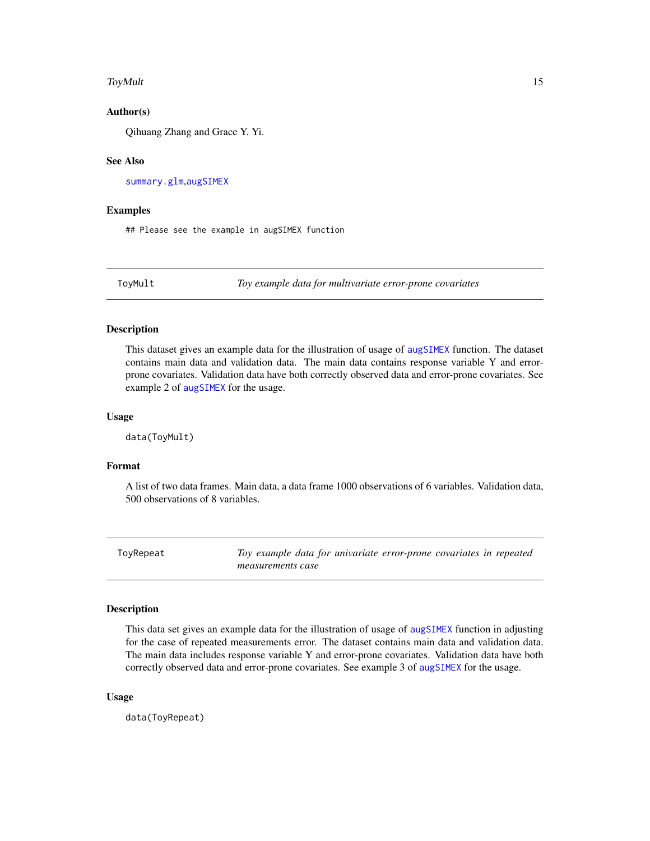#### <span id="page-14-0"></span>ToyMult 15

# Author(s)

Qihuang Zhang and Grace Y. Yi.

# See Also

[summary.glm](#page-0-0),[augSIMEX](#page-2-1)

# Examples

## Please see the example in augSIMEX function

ToyMult *Toy example data for multivariate error-prone covariates*

#### Description

This dataset gives an example data for the illustration of usage of [augSIMEX](#page-2-1) function. The dataset contains main data and validation data. The main data contains response variable Y and errorprone covariates. Validation data have both correctly observed data and error-prone covariates. See example 2 of [augSIMEX](#page-2-1) for the usage.

#### Usage

data(ToyMult)

# Format

A list of two data frames. Main data, a data frame 1000 observations of 6 variables. Validation data, 500 observations of 8 variables.

ToyRepeat *Toy example data for univariate error-prone covariates in repeated measurements case*

# **Description**

This data set gives an example data for the illustration of usage of [augSIMEX](#page-2-1) function in adjusting for the case of repeated measurements error. The dataset contains main data and validation data. The main data includes response variable Y and error-prone covariates. Validation data have both correctly observed data and error-prone covariates. See example 3 of [augSIMEX](#page-2-1) for the usage.

#### Usage

data(ToyRepeat)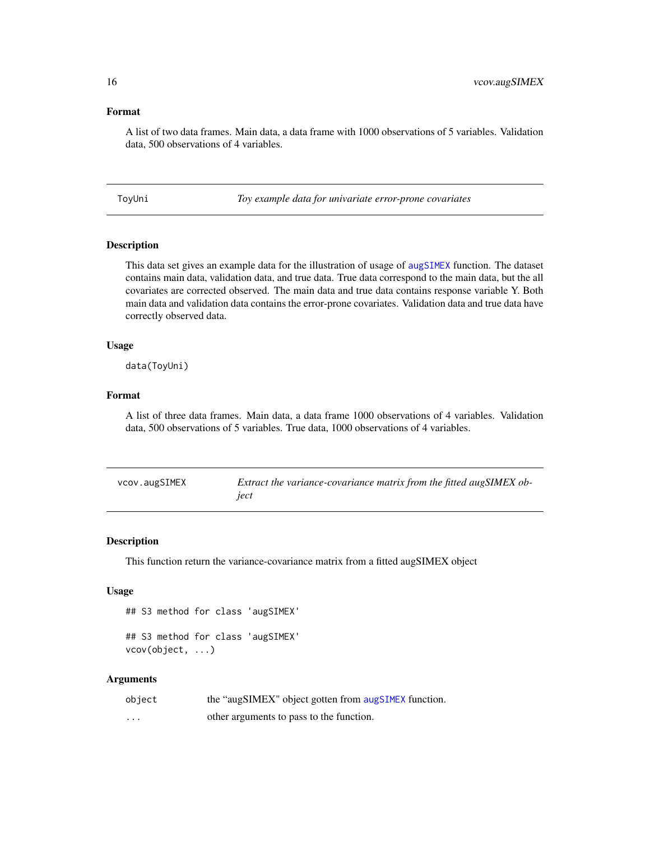# <span id="page-15-0"></span>Format

A list of two data frames. Main data, a data frame with 1000 observations of 5 variables. Validation data, 500 observations of 4 variables.

ToyUni *Toy example data for univariate error-prone covariates*

# Description

This data set gives an example data for the illustration of usage of [augSIMEX](#page-2-1) function. The dataset contains main data, validation data, and true data. True data correspond to the main data, but the all covariates are corrected observed. The main data and true data contains response variable Y. Both main data and validation data contains the error-prone covariates. Validation data and true data have correctly observed data.

# Usage

data(ToyUni)

#### Format

A list of three data frames. Main data, a data frame 1000 observations of 4 variables. Validation data, 500 observations of 5 variables. True data, 1000 observations of 4 variables.

| vcov.augSIMEX | Extract the variance-covariance matrix from the fitted augSIMEX ob- |
|---------------|---------------------------------------------------------------------|
|               | ject                                                                |

## Description

This function return the variance-covariance matrix from a fitted augSIMEX object

### Usage

```
## S3 method for class 'augSIMEX'
## S3 method for class 'augSIMEX'
vcov(object, ...)
```

| object | the "augSIMEX" object gotten from augSIMEX function. |
|--------|------------------------------------------------------|
| .      | other arguments to pass to the function.             |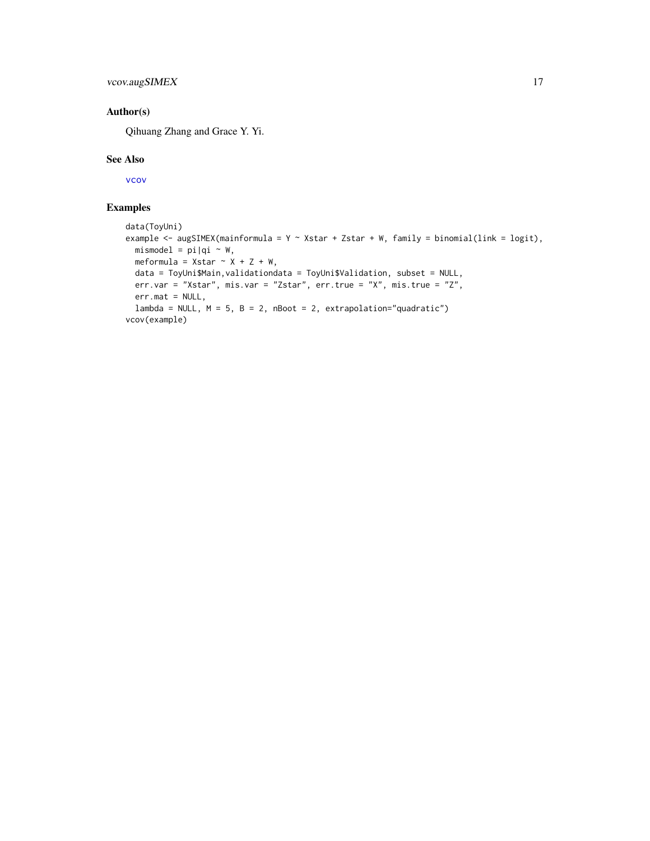# <span id="page-16-0"></span>vcov.augSIMEX 17

# Author(s)

Qihuang Zhang and Grace Y. Yi.

# See Also

[vcov](#page-0-0)

# Examples

```
data(ToyUni)
example <- augSIMEX(mainformula = Y \sim Xstar + Zstar + W, family = binomial(link = logit),
 mismodel = pi|qi ~ w,meformula = Xstar \sim X + Z + W,
 data = ToyUni$Main,validationdata = ToyUni$Validation, subset = NULL,
  err.var = "Xstar", mis.var = "Zstar", err.true = "X", mis.true = "Z",
  err.mat = NULL,
  lambda = NULL, M = 5, B = 2, nBoost = 2, extrapolation="quadratic")vcov(example)
```